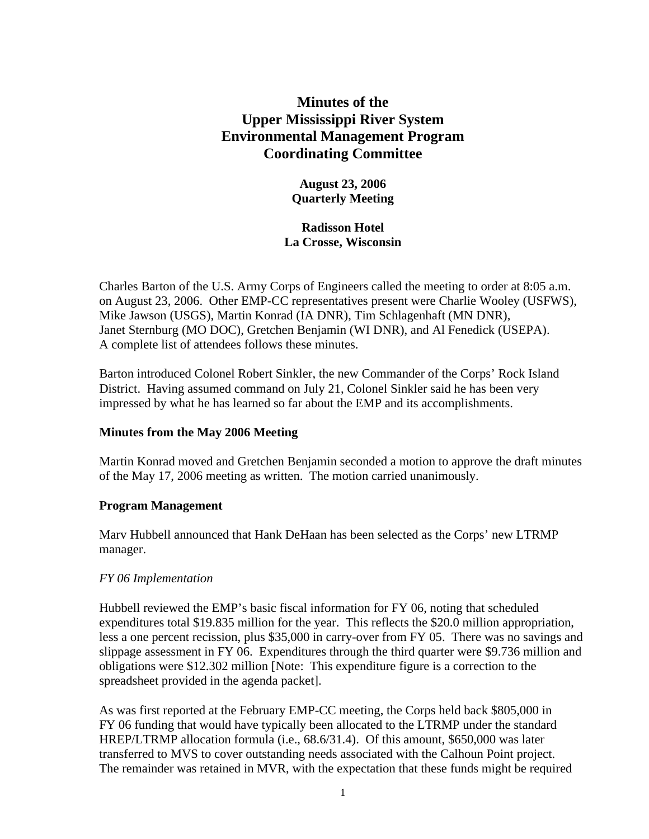# **Minutes of the Upper Mississippi River System Environmental Management Program Coordinating Committee**

# **August 23, 2006 Quarterly Meeting**

# **Radisson Hotel La Crosse, Wisconsin**

Charles Barton of the U.S. Army Corps of Engineers called the meeting to order at 8:05 a.m. on August 23, 2006. Other EMP-CC representatives present were Charlie Wooley (USFWS), Mike Jawson (USGS), Martin Konrad (IA DNR), Tim Schlagenhaft (MN DNR), Janet Sternburg (MO DOC), Gretchen Benjamin (WI DNR), and Al Fenedick (USEPA). A complete list of attendees follows these minutes.

Barton introduced Colonel Robert Sinkler, the new Commander of the Corps' Rock Island District. Having assumed command on July 21, Colonel Sinkler said he has been very impressed by what he has learned so far about the EMP and its accomplishments.

# **Minutes from the May 2006 Meeting**

Martin Konrad moved and Gretchen Benjamin seconded a motion to approve the draft minutes of the May 17, 2006 meeting as written. The motion carried unanimously.

### **Program Management**

Marv Hubbell announced that Hank DeHaan has been selected as the Corps' new LTRMP manager.

### *FY 06 Implementation*

Hubbell reviewed the EMP's basic fiscal information for FY 06, noting that scheduled expenditures total \$19.835 million for the year. This reflects the \$20.0 million appropriation, less a one percent recission, plus \$35,000 in carry-over from FY 05. There was no savings and slippage assessment in FY 06. Expenditures through the third quarter were \$9.736 million and obligations were \$12.302 million [Note: This expenditure figure is a correction to the spreadsheet provided in the agenda packet].

As was first reported at the February EMP-CC meeting, the Corps held back \$805,000 in FY 06 funding that would have typically been allocated to the LTRMP under the standard HREP/LTRMP allocation formula (i.e., 68.6/31.4). Of this amount, \$650,000 was later transferred to MVS to cover outstanding needs associated with the Calhoun Point project. The remainder was retained in MVR, with the expectation that these funds might be required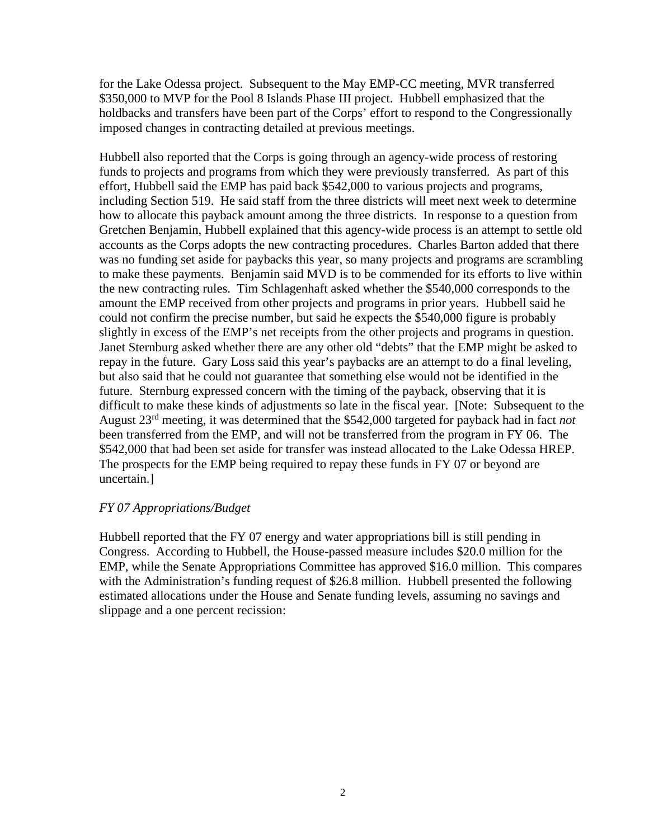for the Lake Odessa project. Subsequent to the May EMP-CC meeting, MVR transferred \$350,000 to MVP for the Pool 8 Islands Phase III project. Hubbell emphasized that the holdbacks and transfers have been part of the Corps' effort to respond to the Congressionally imposed changes in contracting detailed at previous meetings.

Hubbell also reported that the Corps is going through an agency-wide process of restoring funds to projects and programs from which they were previously transferred. As part of this effort, Hubbell said the EMP has paid back \$542,000 to various projects and programs, including Section 519. He said staff from the three districts will meet next week to determine how to allocate this payback amount among the three districts. In response to a question from Gretchen Benjamin, Hubbell explained that this agency-wide process is an attempt to settle old accounts as the Corps adopts the new contracting procedures. Charles Barton added that there was no funding set aside for paybacks this year, so many projects and programs are scrambling to make these payments. Benjamin said MVD is to be commended for its efforts to live within the new contracting rules. Tim Schlagenhaft asked whether the \$540,000 corresponds to the amount the EMP received from other projects and programs in prior years. Hubbell said he could not confirm the precise number, but said he expects the \$540,000 figure is probably slightly in excess of the EMP's net receipts from the other projects and programs in question. Janet Sternburg asked whether there are any other old "debts" that the EMP might be asked to repay in the future. Gary Loss said this year's paybacks are an attempt to do a final leveling, but also said that he could not guarantee that something else would not be identified in the future. Sternburg expressed concern with the timing of the payback, observing that it is difficult to make these kinds of adjustments so late in the fiscal year. [Note: Subsequent to the August 23rd meeting, it was determined that the \$542,000 targeted for payback had in fact *not* been transferred from the EMP, and will not be transferred from the program in FY 06. The \$542,000 that had been set aside for transfer was instead allocated to the Lake Odessa HREP. The prospects for the EMP being required to repay these funds in FY 07 or beyond are uncertain.]

### *FY 07 Appropriations/Budget*

Hubbell reported that the FY 07 energy and water appropriations bill is still pending in Congress. According to Hubbell, the House-passed measure includes \$20.0 million for the EMP, while the Senate Appropriations Committee has approved \$16.0 million. This compares with the Administration's funding request of \$26.8 million. Hubbell presented the following estimated allocations under the House and Senate funding levels, assuming no savings and slippage and a one percent recission: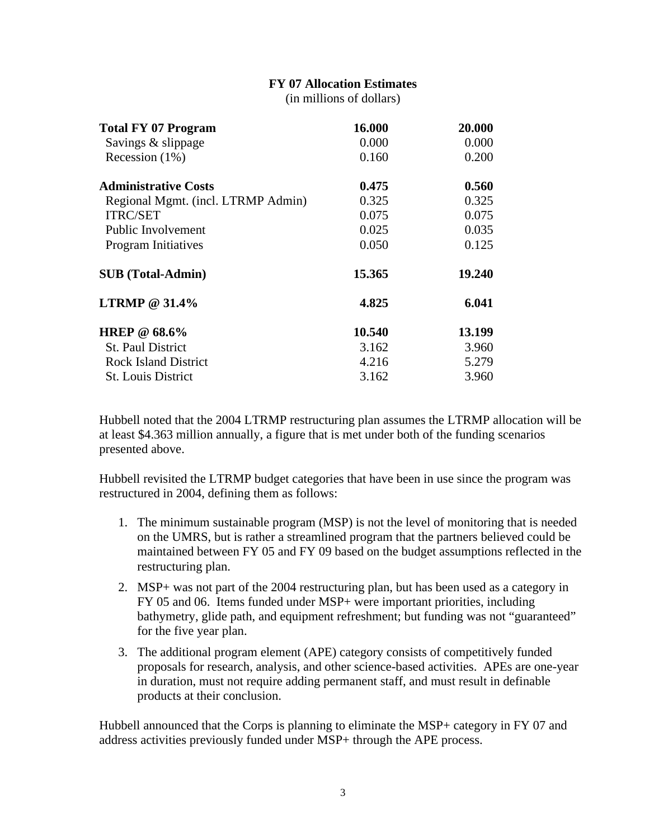# **FY 07 Allocation Estimates**

(in millions of dollars)

| <b>Total FY 07 Program</b>         | 16.000 | 20.000 |
|------------------------------------|--------|--------|
| Savings & slippage                 | 0.000  | 0.000  |
| Recession $(1%)$                   | 0.160  | 0.200  |
| <b>Administrative Costs</b>        | 0.475  | 0.560  |
| Regional Mgmt. (incl. LTRMP Admin) | 0.325  | 0.325  |
| <b>ITRC/SET</b>                    | 0.075  | 0.075  |
| Public Involvement                 | 0.025  | 0.035  |
| <b>Program Initiatives</b>         | 0.050  | 0.125  |
| <b>SUB</b> (Total-Admin)           | 15.365 | 19.240 |
| <b>LTRMP</b> @ 31.4%               | 4.825  | 6.041  |
| HREP @ $68.6\%$                    | 10.540 | 13.199 |
| St. Paul District                  | 3.162  | 3.960  |
| <b>Rock Island District</b>        | 4.216  | 5.279  |
| <b>St. Louis District</b>          | 3.162  | 3.960  |

Hubbell noted that the 2004 LTRMP restructuring plan assumes the LTRMP allocation will be at least \$4.363 million annually, a figure that is met under both of the funding scenarios presented above.

Hubbell revisited the LTRMP budget categories that have been in use since the program was restructured in 2004, defining them as follows:

- 1. The minimum sustainable program (MSP) is not the level of monitoring that is needed on the UMRS, but is rather a streamlined program that the partners believed could be maintained between FY 05 and FY 09 based on the budget assumptions reflected in the restructuring plan.
- 2. MSP+ was not part of the 2004 restructuring plan, but has been used as a category in FY 05 and 06. Items funded under MSP+ were important priorities, including bathymetry, glide path, and equipment refreshment; but funding was not "guaranteed" for the five year plan.
- 3. The additional program element (APE) category consists of competitively funded proposals for research, analysis, and other science-based activities. APEs are one-year in duration, must not require adding permanent staff, and must result in definable products at their conclusion.

Hubbell announced that the Corps is planning to eliminate the MSP+ category in FY 07 and address activities previously funded under MSP+ through the APE process.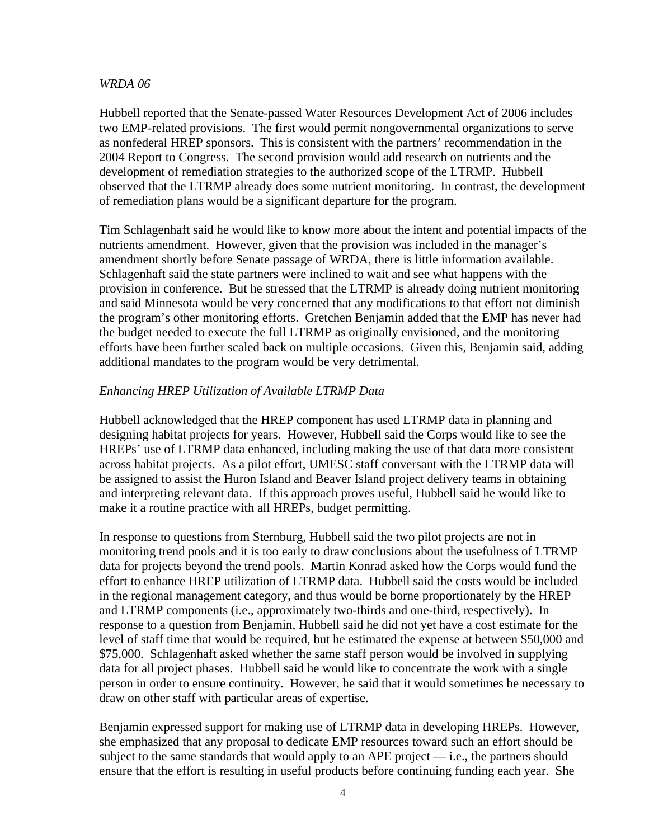#### *WRDA 06*

Hubbell reported that the Senate-passed Water Resources Development Act of 2006 includes two EMP-related provisions. The first would permit nongovernmental organizations to serve as nonfederal HREP sponsors. This is consistent with the partners' recommendation in the 2004 Report to Congress. The second provision would add research on nutrients and the development of remediation strategies to the authorized scope of the LTRMP. Hubbell observed that the LTRMP already does some nutrient monitoring. In contrast, the development of remediation plans would be a significant departure for the program.

Tim Schlagenhaft said he would like to know more about the intent and potential impacts of the nutrients amendment. However, given that the provision was included in the manager's amendment shortly before Senate passage of WRDA, there is little information available. Schlagenhaft said the state partners were inclined to wait and see what happens with the provision in conference. But he stressed that the LTRMP is already doing nutrient monitoring and said Minnesota would be very concerned that any modifications to that effort not diminish the program's other monitoring efforts. Gretchen Benjamin added that the EMP has never had the budget needed to execute the full LTRMP as originally envisioned, and the monitoring efforts have been further scaled back on multiple occasions. Given this, Benjamin said, adding additional mandates to the program would be very detrimental.

# *Enhancing HREP Utilization of Available LTRMP Data*

Hubbell acknowledged that the HREP component has used LTRMP data in planning and designing habitat projects for years. However, Hubbell said the Corps would like to see the HREPs' use of LTRMP data enhanced, including making the use of that data more consistent across habitat projects. As a pilot effort, UMESC staff conversant with the LTRMP data will be assigned to assist the Huron Island and Beaver Island project delivery teams in obtaining and interpreting relevant data. If this approach proves useful, Hubbell said he would like to make it a routine practice with all HREPs, budget permitting.

In response to questions from Sternburg, Hubbell said the two pilot projects are not in monitoring trend pools and it is too early to draw conclusions about the usefulness of LTRMP data for projects beyond the trend pools. Martin Konrad asked how the Corps would fund the effort to enhance HREP utilization of LTRMP data. Hubbell said the costs would be included in the regional management category, and thus would be borne proportionately by the HREP and LTRMP components (i.e., approximately two-thirds and one-third, respectively). In response to a question from Benjamin, Hubbell said he did not yet have a cost estimate for the level of staff time that would be required, but he estimated the expense at between \$50,000 and \$75,000. Schlagenhaft asked whether the same staff person would be involved in supplying data for all project phases. Hubbell said he would like to concentrate the work with a single person in order to ensure continuity. However, he said that it would sometimes be necessary to draw on other staff with particular areas of expertise.

Benjamin expressed support for making use of LTRMP data in developing HREPs. However, she emphasized that any proposal to dedicate EMP resources toward such an effort should be subject to the same standards that would apply to an APE project  $-$  i.e., the partners should ensure that the effort is resulting in useful products before continuing funding each year. She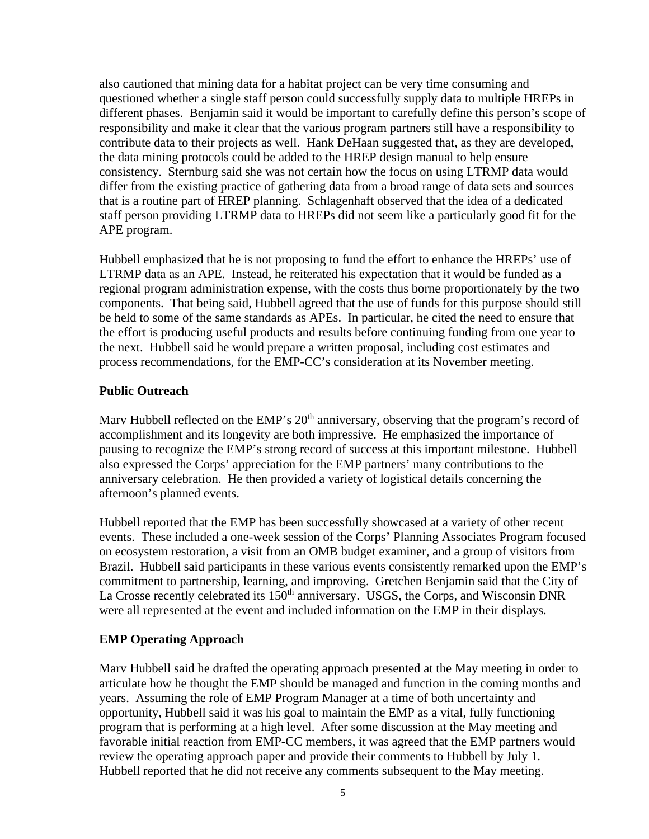also cautioned that mining data for a habitat project can be very time consuming and questioned whether a single staff person could successfully supply data to multiple HREPs in different phases. Benjamin said it would be important to carefully define this person's scope of responsibility and make it clear that the various program partners still have a responsibility to contribute data to their projects as well. Hank DeHaan suggested that, as they are developed, the data mining protocols could be added to the HREP design manual to help ensure consistency. Sternburg said she was not certain how the focus on using LTRMP data would differ from the existing practice of gathering data from a broad range of data sets and sources that is a routine part of HREP planning. Schlagenhaft observed that the idea of a dedicated staff person providing LTRMP data to HREPs did not seem like a particularly good fit for the APE program.

Hubbell emphasized that he is not proposing to fund the effort to enhance the HREPs' use of LTRMP data as an APE. Instead, he reiterated his expectation that it would be funded as a regional program administration expense, with the costs thus borne proportionately by the two components. That being said, Hubbell agreed that the use of funds for this purpose should still be held to some of the same standards as APEs. In particular, he cited the need to ensure that the effort is producing useful products and results before continuing funding from one year to the next. Hubbell said he would prepare a written proposal, including cost estimates and process recommendations, for the EMP-CC's consideration at its November meeting.

# **Public Outreach**

Mary Hubbell reflected on the EMP's  $20<sup>th</sup>$  anniversary, observing that the program's record of accomplishment and its longevity are both impressive. He emphasized the importance of pausing to recognize the EMP's strong record of success at this important milestone. Hubbell also expressed the Corps' appreciation for the EMP partners' many contributions to the anniversary celebration. He then provided a variety of logistical details concerning the afternoon's planned events.

Hubbell reported that the EMP has been successfully showcased at a variety of other recent events. These included a one-week session of the Corps' Planning Associates Program focused on ecosystem restoration, a visit from an OMB budget examiner, and a group of visitors from Brazil. Hubbell said participants in these various events consistently remarked upon the EMP's commitment to partnership, learning, and improving. Gretchen Benjamin said that the City of La Crosse recently celebrated its 150<sup>th</sup> anniversary. USGS, the Corps, and Wisconsin DNR were all represented at the event and included information on the EMP in their displays.

### **EMP Operating Approach**

Marv Hubbell said he drafted the operating approach presented at the May meeting in order to articulate how he thought the EMP should be managed and function in the coming months and years. Assuming the role of EMP Program Manager at a time of both uncertainty and opportunity, Hubbell said it was his goal to maintain the EMP as a vital, fully functioning program that is performing at a high level. After some discussion at the May meeting and favorable initial reaction from EMP-CC members, it was agreed that the EMP partners would review the operating approach paper and provide their comments to Hubbell by July 1. Hubbell reported that he did not receive any comments subsequent to the May meeting.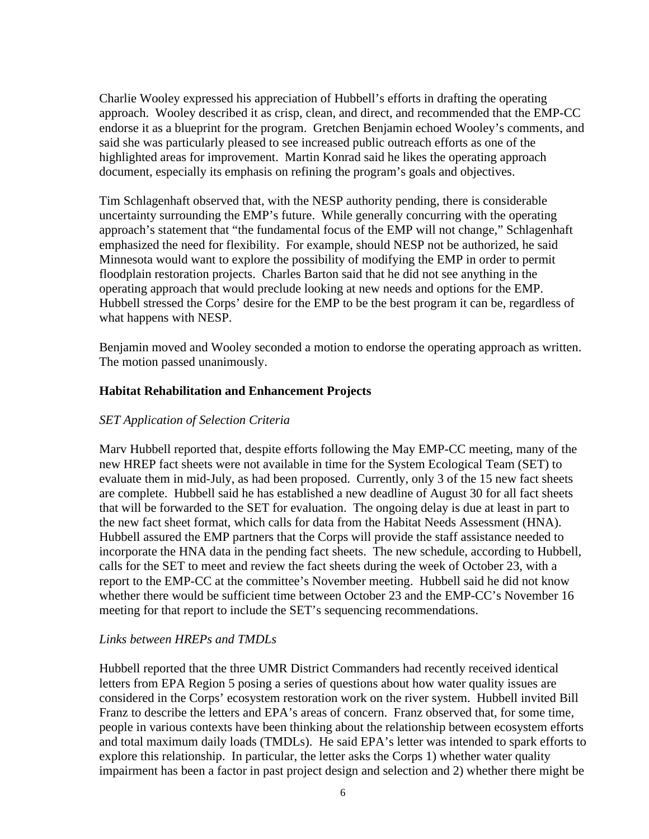Charlie Wooley expressed his appreciation of Hubbell's efforts in drafting the operating approach. Wooley described it as crisp, clean, and direct, and recommended that the EMP-CC endorse it as a blueprint for the program. Gretchen Benjamin echoed Wooley's comments, and said she was particularly pleased to see increased public outreach efforts as one of the highlighted areas for improvement. Martin Konrad said he likes the operating approach document, especially its emphasis on refining the program's goals and objectives.

Tim Schlagenhaft observed that, with the NESP authority pending, there is considerable uncertainty surrounding the EMP's future. While generally concurring with the operating approach's statement that "the fundamental focus of the EMP will not change," Schlagenhaft emphasized the need for flexibility. For example, should NESP not be authorized, he said Minnesota would want to explore the possibility of modifying the EMP in order to permit floodplain restoration projects. Charles Barton said that he did not see anything in the operating approach that would preclude looking at new needs and options for the EMP. Hubbell stressed the Corps' desire for the EMP to be the best program it can be, regardless of what happens with NESP.

Benjamin moved and Wooley seconded a motion to endorse the operating approach as written. The motion passed unanimously.

### **Habitat Rehabilitation and Enhancement Projects**

### *SET Application of Selection Criteria*

Marv Hubbell reported that, despite efforts following the May EMP-CC meeting, many of the new HREP fact sheets were not available in time for the System Ecological Team (SET) to evaluate them in mid-July, as had been proposed. Currently, only 3 of the 15 new fact sheets are complete. Hubbell said he has established a new deadline of August 30 for all fact sheets that will be forwarded to the SET for evaluation. The ongoing delay is due at least in part to the new fact sheet format, which calls for data from the Habitat Needs Assessment (HNA). Hubbell assured the EMP partners that the Corps will provide the staff assistance needed to incorporate the HNA data in the pending fact sheets. The new schedule, according to Hubbell, calls for the SET to meet and review the fact sheets during the week of October 23, with a report to the EMP-CC at the committee's November meeting. Hubbell said he did not know whether there would be sufficient time between October 23 and the EMP-CC's November 16 meeting for that report to include the SET's sequencing recommendations.

### *Links between HREPs and TMDLs*

Hubbell reported that the three UMR District Commanders had recently received identical letters from EPA Region 5 posing a series of questions about how water quality issues are considered in the Corps' ecosystem restoration work on the river system. Hubbell invited Bill Franz to describe the letters and EPA's areas of concern. Franz observed that, for some time, people in various contexts have been thinking about the relationship between ecosystem efforts and total maximum daily loads (TMDLs). He said EPA's letter was intended to spark efforts to explore this relationship. In particular, the letter asks the Corps 1) whether water quality impairment has been a factor in past project design and selection and 2) whether there might be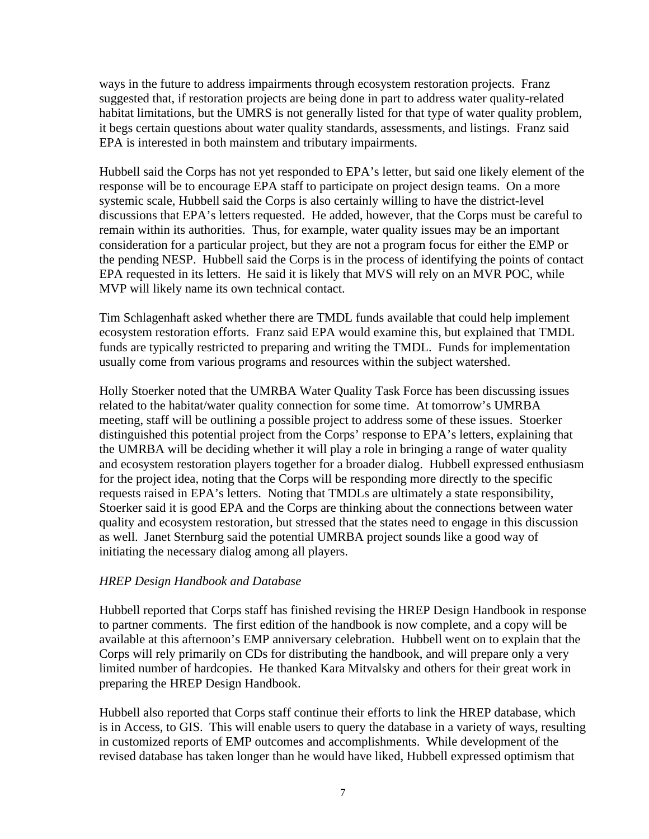ways in the future to address impairments through ecosystem restoration projects. Franz suggested that, if restoration projects are being done in part to address water quality-related habitat limitations, but the UMRS is not generally listed for that type of water quality problem, it begs certain questions about water quality standards, assessments, and listings. Franz said EPA is interested in both mainstem and tributary impairments.

Hubbell said the Corps has not yet responded to EPA's letter, but said one likely element of the response will be to encourage EPA staff to participate on project design teams. On a more systemic scale, Hubbell said the Corps is also certainly willing to have the district-level discussions that EPA's letters requested. He added, however, that the Corps must be careful to remain within its authorities. Thus, for example, water quality issues may be an important consideration for a particular project, but they are not a program focus for either the EMP or the pending NESP. Hubbell said the Corps is in the process of identifying the points of contact EPA requested in its letters. He said it is likely that MVS will rely on an MVR POC, while MVP will likely name its own technical contact.

Tim Schlagenhaft asked whether there are TMDL funds available that could help implement ecosystem restoration efforts. Franz said EPA would examine this, but explained that TMDL funds are typically restricted to preparing and writing the TMDL. Funds for implementation usually come from various programs and resources within the subject watershed.

Holly Stoerker noted that the UMRBA Water Quality Task Force has been discussing issues related to the habitat/water quality connection for some time. At tomorrow's UMRBA meeting, staff will be outlining a possible project to address some of these issues. Stoerker distinguished this potential project from the Corps' response to EPA's letters, explaining that the UMRBA will be deciding whether it will play a role in bringing a range of water quality and ecosystem restoration players together for a broader dialog. Hubbell expressed enthusiasm for the project idea, noting that the Corps will be responding more directly to the specific requests raised in EPA's letters. Noting that TMDLs are ultimately a state responsibility, Stoerker said it is good EPA and the Corps are thinking about the connections between water quality and ecosystem restoration, but stressed that the states need to engage in this discussion as well. Janet Sternburg said the potential UMRBA project sounds like a good way of initiating the necessary dialog among all players.

### *HREP Design Handbook and Database*

Hubbell reported that Corps staff has finished revising the HREP Design Handbook in response to partner comments. The first edition of the handbook is now complete, and a copy will be available at this afternoon's EMP anniversary celebration. Hubbell went on to explain that the Corps will rely primarily on CDs for distributing the handbook, and will prepare only a very limited number of hardcopies. He thanked Kara Mitvalsky and others for their great work in preparing the HREP Design Handbook.

Hubbell also reported that Corps staff continue their efforts to link the HREP database, which is in Access, to GIS. This will enable users to query the database in a variety of ways, resulting in customized reports of EMP outcomes and accomplishments. While development of the revised database has taken longer than he would have liked, Hubbell expressed optimism that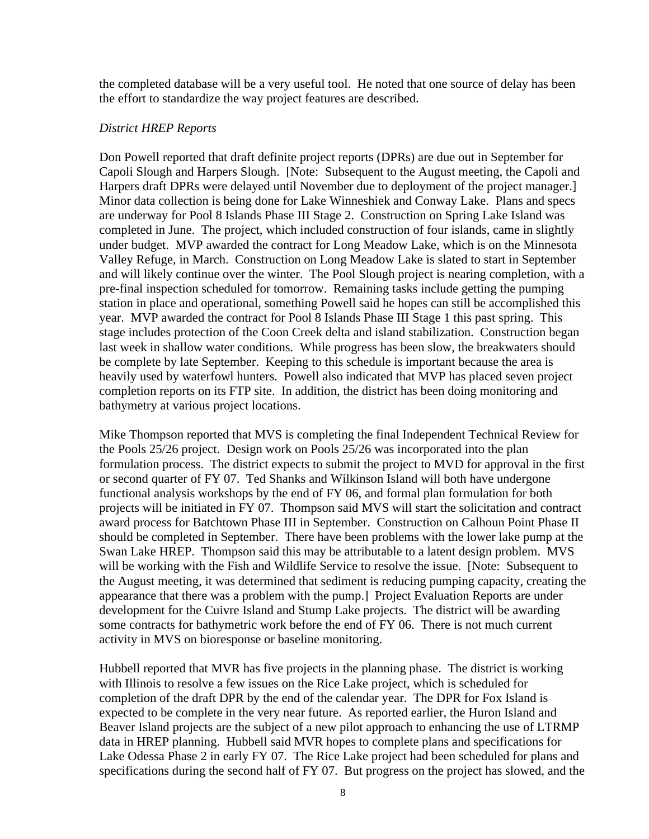the completed database will be a very useful tool. He noted that one source of delay has been the effort to standardize the way project features are described.

#### *District HREP Reports*

Don Powell reported that draft definite project reports (DPRs) are due out in September for Capoli Slough and Harpers Slough. [Note: Subsequent to the August meeting, the Capoli and Harpers draft DPRs were delayed until November due to deployment of the project manager.] Minor data collection is being done for Lake Winneshiek and Conway Lake. Plans and specs are underway for Pool 8 Islands Phase III Stage 2. Construction on Spring Lake Island was completed in June. The project, which included construction of four islands, came in slightly under budget. MVP awarded the contract for Long Meadow Lake, which is on the Minnesota Valley Refuge, in March. Construction on Long Meadow Lake is slated to start in September and will likely continue over the winter. The Pool Slough project is nearing completion, with a pre-final inspection scheduled for tomorrow. Remaining tasks include getting the pumping station in place and operational, something Powell said he hopes can still be accomplished this year. MVP awarded the contract for Pool 8 Islands Phase III Stage 1 this past spring. This stage includes protection of the Coon Creek delta and island stabilization. Construction began last week in shallow water conditions. While progress has been slow, the breakwaters should be complete by late September. Keeping to this schedule is important because the area is heavily used by waterfowl hunters. Powell also indicated that MVP has placed seven project completion reports on its FTP site. In addition, the district has been doing monitoring and bathymetry at various project locations.

Mike Thompson reported that MVS is completing the final Independent Technical Review for the Pools 25/26 project. Design work on Pools 25/26 was incorporated into the plan formulation process. The district expects to submit the project to MVD for approval in the first or second quarter of FY 07. Ted Shanks and Wilkinson Island will both have undergone functional analysis workshops by the end of FY 06, and formal plan formulation for both projects will be initiated in FY 07. Thompson said MVS will start the solicitation and contract award process for Batchtown Phase III in September. Construction on Calhoun Point Phase II should be completed in September. There have been problems with the lower lake pump at the Swan Lake HREP. Thompson said this may be attributable to a latent design problem. MVS will be working with the Fish and Wildlife Service to resolve the issue. [Note: Subsequent to the August meeting, it was determined that sediment is reducing pumping capacity, creating the appearance that there was a problem with the pump.] Project Evaluation Reports are under development for the Cuivre Island and Stump Lake projects. The district will be awarding some contracts for bathymetric work before the end of FY 06. There is not much current activity in MVS on bioresponse or baseline monitoring.

Hubbell reported that MVR has five projects in the planning phase. The district is working with Illinois to resolve a few issues on the Rice Lake project, which is scheduled for completion of the draft DPR by the end of the calendar year. The DPR for Fox Island is expected to be complete in the very near future. As reported earlier, the Huron Island and Beaver Island projects are the subject of a new pilot approach to enhancing the use of LTRMP data in HREP planning. Hubbell said MVR hopes to complete plans and specifications for Lake Odessa Phase 2 in early FY 07. The Rice Lake project had been scheduled for plans and specifications during the second half of FY 07. But progress on the project has slowed, and the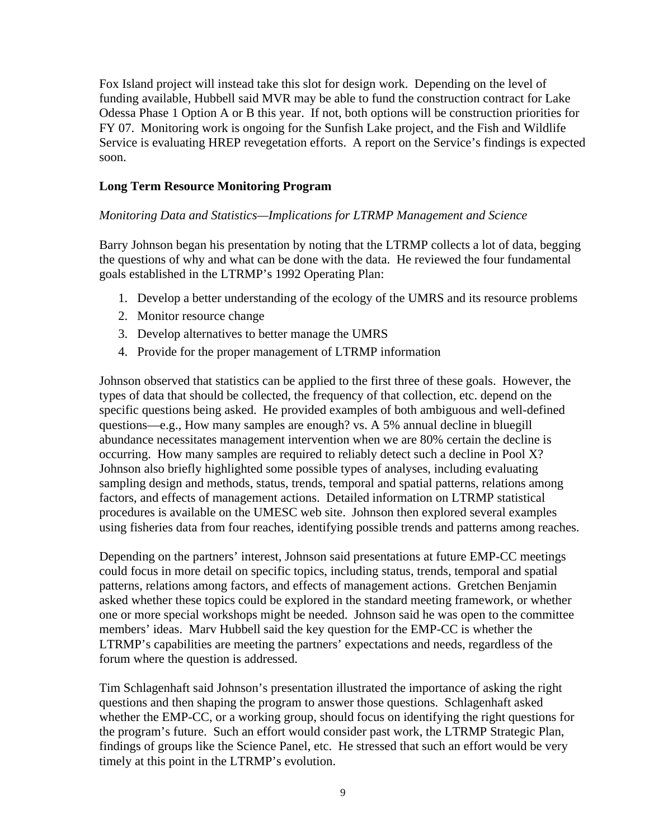Fox Island project will instead take this slot for design work. Depending on the level of funding available, Hubbell said MVR may be able to fund the construction contract for Lake Odessa Phase 1 Option A or B this year. If not, both options will be construction priorities for FY 07. Monitoring work is ongoing for the Sunfish Lake project, and the Fish and Wildlife Service is evaluating HREP revegetation efforts. A report on the Service's findings is expected soon.

# **Long Term Resource Monitoring Program**

### *Monitoring Data and Statistics—Implications for LTRMP Management and Science*

Barry Johnson began his presentation by noting that the LTRMP collects a lot of data, begging the questions of why and what can be done with the data. He reviewed the four fundamental goals established in the LTRMP's 1992 Operating Plan:

- 1. Develop a better understanding of the ecology of the UMRS and its resource problems
- 2. Monitor resource change
- 3. Develop alternatives to better manage the UMRS
- 4. Provide for the proper management of LTRMP information

Johnson observed that statistics can be applied to the first three of these goals. However, the types of data that should be collected, the frequency of that collection, etc. depend on the specific questions being asked. He provided examples of both ambiguous and well-defined questions—e.g., How many samples are enough? vs. A 5% annual decline in bluegill abundance necessitates management intervention when we are 80% certain the decline is occurring. How many samples are required to reliably detect such a decline in Pool X? Johnson also briefly highlighted some possible types of analyses, including evaluating sampling design and methods, status, trends, temporal and spatial patterns, relations among factors, and effects of management actions. Detailed information on LTRMP statistical procedures is available on the UMESC web site. Johnson then explored several examples using fisheries data from four reaches, identifying possible trends and patterns among reaches.

Depending on the partners' interest, Johnson said presentations at future EMP-CC meetings could focus in more detail on specific topics, including status, trends, temporal and spatial patterns, relations among factors, and effects of management actions. Gretchen Benjamin asked whether these topics could be explored in the standard meeting framework, or whether one or more special workshops might be needed. Johnson said he was open to the committee members' ideas. Marv Hubbell said the key question for the EMP-CC is whether the LTRMP's capabilities are meeting the partners' expectations and needs, regardless of the forum where the question is addressed.

Tim Schlagenhaft said Johnson's presentation illustrated the importance of asking the right questions and then shaping the program to answer those questions. Schlagenhaft asked whether the EMP-CC, or a working group, should focus on identifying the right questions for the program's future. Such an effort would consider past work, the LTRMP Strategic Plan, findings of groups like the Science Panel, etc. He stressed that such an effort would be very timely at this point in the LTRMP's evolution.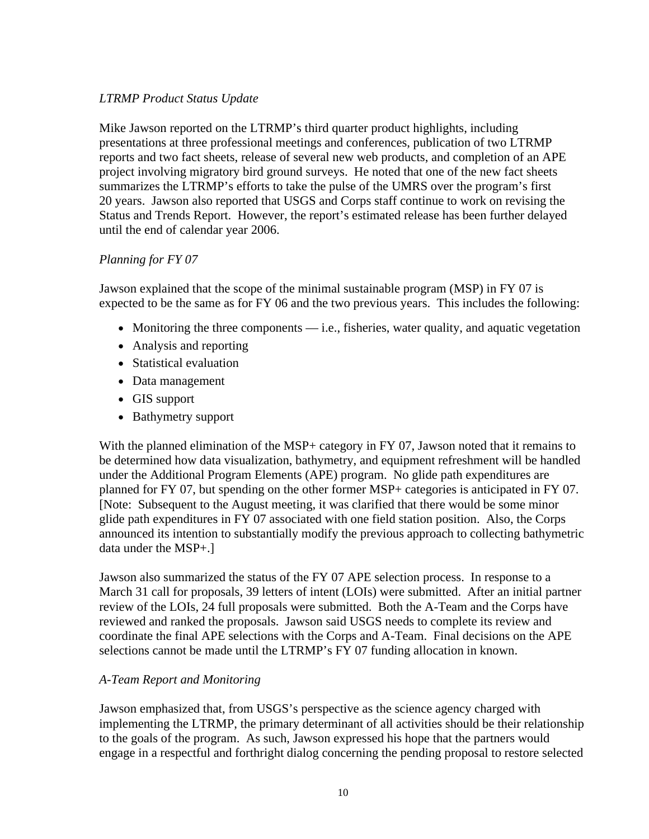# *LTRMP Product Status Update*

Mike Jawson reported on the LTRMP's third quarter product highlights, including presentations at three professional meetings and conferences, publication of two LTRMP reports and two fact sheets, release of several new web products, and completion of an APE project involving migratory bird ground surveys. He noted that one of the new fact sheets summarizes the LTRMP's efforts to take the pulse of the UMRS over the program's first 20 years. Jawson also reported that USGS and Corps staff continue to work on revising the Status and Trends Report. However, the report's estimated release has been further delayed until the end of calendar year 2006.

# *Planning for FY 07*

Jawson explained that the scope of the minimal sustainable program (MSP) in FY 07 is expected to be the same as for FY 06 and the two previous years. This includes the following:

- Monitoring the three components i.e., fisheries, water quality, and aquatic vegetation
- Analysis and reporting
- Statistical evaluation
- Data management
- GIS support
- Bathymetry support

With the planned elimination of the MSP+ category in FY 07, Jawson noted that it remains to be determined how data visualization, bathymetry, and equipment refreshment will be handled under the Additional Program Elements (APE) program. No glide path expenditures are planned for FY 07, but spending on the other former MSP+ categories is anticipated in FY 07. [Note: Subsequent to the August meeting, it was clarified that there would be some minor glide path expenditures in FY 07 associated with one field station position. Also, the Corps announced its intention to substantially modify the previous approach to collecting bathymetric data under the MSP+.]

Jawson also summarized the status of the FY 07 APE selection process. In response to a March 31 call for proposals, 39 letters of intent (LOIs) were submitted. After an initial partner review of the LOIs, 24 full proposals were submitted. Both the A-Team and the Corps have reviewed and ranked the proposals. Jawson said USGS needs to complete its review and coordinate the final APE selections with the Corps and A-Team. Final decisions on the APE selections cannot be made until the LTRMP's FY 07 funding allocation in known.

# *A-Team Report and Monitoring*

Jawson emphasized that, from USGS's perspective as the science agency charged with implementing the LTRMP, the primary determinant of all activities should be their relationship to the goals of the program. As such, Jawson expressed his hope that the partners would engage in a respectful and forthright dialog concerning the pending proposal to restore selected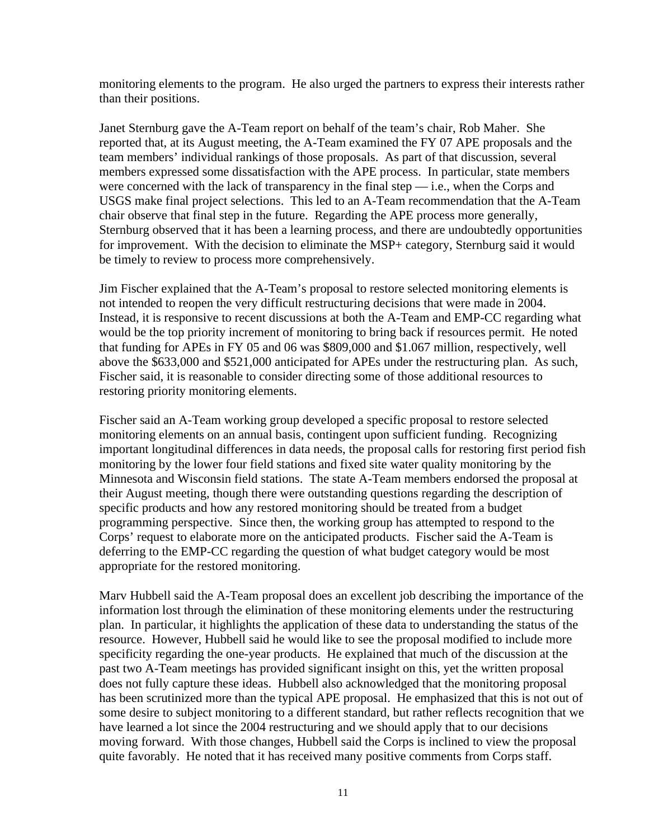monitoring elements to the program. He also urged the partners to express their interests rather than their positions.

Janet Sternburg gave the A-Team report on behalf of the team's chair, Rob Maher. She reported that, at its August meeting, the A-Team examined the FY 07 APE proposals and the team members' individual rankings of those proposals. As part of that discussion, several members expressed some dissatisfaction with the APE process. In particular, state members were concerned with the lack of transparency in the final step  $-$  i.e., when the Corps and USGS make final project selections. This led to an A-Team recommendation that the A-Team chair observe that final step in the future. Regarding the APE process more generally, Sternburg observed that it has been a learning process, and there are undoubtedly opportunities for improvement. With the decision to eliminate the MSP+ category, Sternburg said it would be timely to review to process more comprehensively.

Jim Fischer explained that the A-Team's proposal to restore selected monitoring elements is not intended to reopen the very difficult restructuring decisions that were made in 2004. Instead, it is responsive to recent discussions at both the A-Team and EMP-CC regarding what would be the top priority increment of monitoring to bring back if resources permit. He noted that funding for APEs in FY 05 and 06 was \$809,000 and \$1.067 million, respectively, well above the \$633,000 and \$521,000 anticipated for APEs under the restructuring plan. As such, Fischer said, it is reasonable to consider directing some of those additional resources to restoring priority monitoring elements.

Fischer said an A-Team working group developed a specific proposal to restore selected monitoring elements on an annual basis, contingent upon sufficient funding. Recognizing important longitudinal differences in data needs, the proposal calls for restoring first period fish monitoring by the lower four field stations and fixed site water quality monitoring by the Minnesota and Wisconsin field stations. The state A-Team members endorsed the proposal at their August meeting, though there were outstanding questions regarding the description of specific products and how any restored monitoring should be treated from a budget programming perspective. Since then, the working group has attempted to respond to the Corps' request to elaborate more on the anticipated products. Fischer said the A-Team is deferring to the EMP-CC regarding the question of what budget category would be most appropriate for the restored monitoring.

Marv Hubbell said the A-Team proposal does an excellent job describing the importance of the information lost through the elimination of these monitoring elements under the restructuring plan. In particular, it highlights the application of these data to understanding the status of the resource. However, Hubbell said he would like to see the proposal modified to include more specificity regarding the one-year products. He explained that much of the discussion at the past two A-Team meetings has provided significant insight on this, yet the written proposal does not fully capture these ideas. Hubbell also acknowledged that the monitoring proposal has been scrutinized more than the typical APE proposal. He emphasized that this is not out of some desire to subject monitoring to a different standard, but rather reflects recognition that we have learned a lot since the 2004 restructuring and we should apply that to our decisions moving forward. With those changes, Hubbell said the Corps is inclined to view the proposal quite favorably. He noted that it has received many positive comments from Corps staff.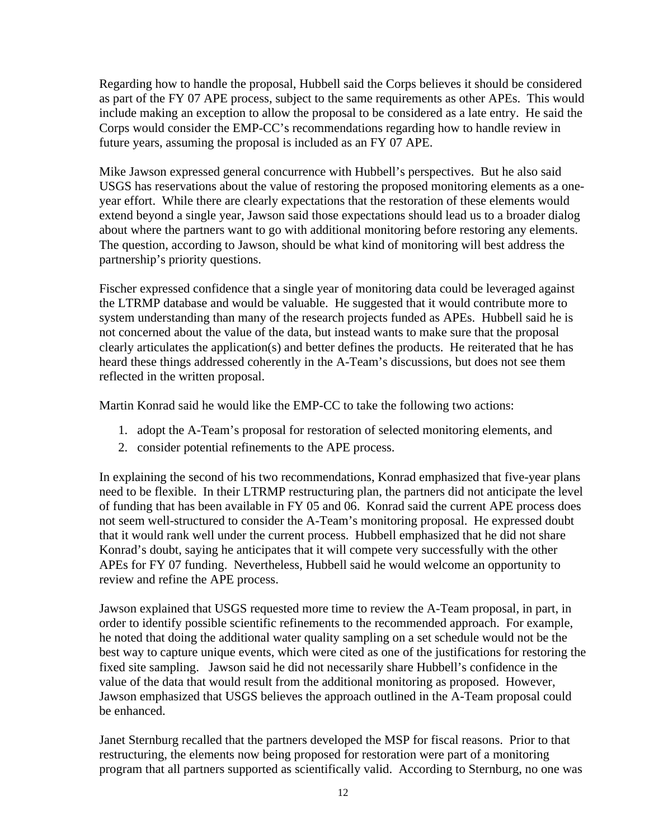Regarding how to handle the proposal, Hubbell said the Corps believes it should be considered as part of the FY 07 APE process, subject to the same requirements as other APEs. This would include making an exception to allow the proposal to be considered as a late entry. He said the Corps would consider the EMP-CC's recommendations regarding how to handle review in future years, assuming the proposal is included as an FY 07 APE.

Mike Jawson expressed general concurrence with Hubbell's perspectives. But he also said USGS has reservations about the value of restoring the proposed monitoring elements as a oneyear effort. While there are clearly expectations that the restoration of these elements would extend beyond a single year, Jawson said those expectations should lead us to a broader dialog about where the partners want to go with additional monitoring before restoring any elements. The question, according to Jawson, should be what kind of monitoring will best address the partnership's priority questions.

Fischer expressed confidence that a single year of monitoring data could be leveraged against the LTRMP database and would be valuable. He suggested that it would contribute more to system understanding than many of the research projects funded as APEs. Hubbell said he is not concerned about the value of the data, but instead wants to make sure that the proposal clearly articulates the application(s) and better defines the products. He reiterated that he has heard these things addressed coherently in the A-Team's discussions, but does not see them reflected in the written proposal.

Martin Konrad said he would like the EMP-CC to take the following two actions:

- 1. adopt the A-Team's proposal for restoration of selected monitoring elements, and
- 2. consider potential refinements to the APE process.

In explaining the second of his two recommendations, Konrad emphasized that five-year plans need to be flexible. In their LTRMP restructuring plan, the partners did not anticipate the level of funding that has been available in FY 05 and 06. Konrad said the current APE process does not seem well-structured to consider the A-Team's monitoring proposal. He expressed doubt that it would rank well under the current process. Hubbell emphasized that he did not share Konrad's doubt, saying he anticipates that it will compete very successfully with the other APEs for FY 07 funding. Nevertheless, Hubbell said he would welcome an opportunity to review and refine the APE process.

Jawson explained that USGS requested more time to review the A-Team proposal, in part, in order to identify possible scientific refinements to the recommended approach. For example, he noted that doing the additional water quality sampling on a set schedule would not be the best way to capture unique events, which were cited as one of the justifications for restoring the fixed site sampling. Jawson said he did not necessarily share Hubbell's confidence in the value of the data that would result from the additional monitoring as proposed. However, Jawson emphasized that USGS believes the approach outlined in the A-Team proposal could be enhanced.

Janet Sternburg recalled that the partners developed the MSP for fiscal reasons. Prior to that restructuring, the elements now being proposed for restoration were part of a monitoring program that all partners supported as scientifically valid. According to Sternburg, no one was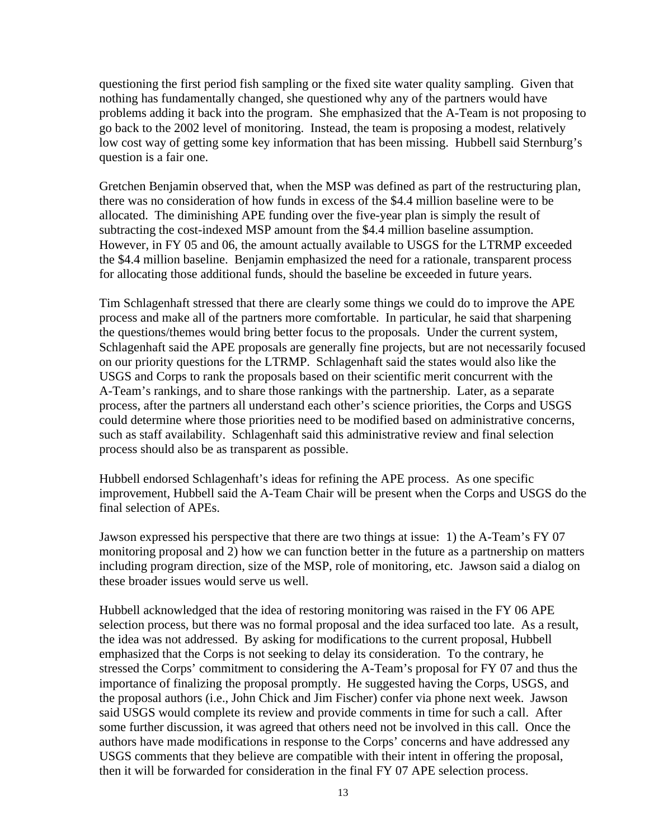questioning the first period fish sampling or the fixed site water quality sampling. Given that nothing has fundamentally changed, she questioned why any of the partners would have problems adding it back into the program. She emphasized that the A-Team is not proposing to go back to the 2002 level of monitoring. Instead, the team is proposing a modest, relatively low cost way of getting some key information that has been missing. Hubbell said Sternburg's question is a fair one.

Gretchen Benjamin observed that, when the MSP was defined as part of the restructuring plan, there was no consideration of how funds in excess of the \$4.4 million baseline were to be allocated. The diminishing APE funding over the five-year plan is simply the result of subtracting the cost-indexed MSP amount from the \$4.4 million baseline assumption. However, in FY 05 and 06, the amount actually available to USGS for the LTRMP exceeded the \$4.4 million baseline. Benjamin emphasized the need for a rationale, transparent process for allocating those additional funds, should the baseline be exceeded in future years.

Tim Schlagenhaft stressed that there are clearly some things we could do to improve the APE process and make all of the partners more comfortable. In particular, he said that sharpening the questions/themes would bring better focus to the proposals. Under the current system, Schlagenhaft said the APE proposals are generally fine projects, but are not necessarily focused on our priority questions for the LTRMP. Schlagenhaft said the states would also like the USGS and Corps to rank the proposals based on their scientific merit concurrent with the A-Team's rankings, and to share those rankings with the partnership. Later, as a separate process, after the partners all understand each other's science priorities, the Corps and USGS could determine where those priorities need to be modified based on administrative concerns, such as staff availability. Schlagenhaft said this administrative review and final selection process should also be as transparent as possible.

Hubbell endorsed Schlagenhaft's ideas for refining the APE process. As one specific improvement, Hubbell said the A-Team Chair will be present when the Corps and USGS do the final selection of APEs.

Jawson expressed his perspective that there are two things at issue: 1) the A-Team's FY 07 monitoring proposal and 2) how we can function better in the future as a partnership on matters including program direction, size of the MSP, role of monitoring, etc. Jawson said a dialog on these broader issues would serve us well.

Hubbell acknowledged that the idea of restoring monitoring was raised in the FY 06 APE selection process, but there was no formal proposal and the idea surfaced too late. As a result, the idea was not addressed. By asking for modifications to the current proposal, Hubbell emphasized that the Corps is not seeking to delay its consideration. To the contrary, he stressed the Corps' commitment to considering the A-Team's proposal for FY 07 and thus the importance of finalizing the proposal promptly. He suggested having the Corps, USGS, and the proposal authors (i.e., John Chick and Jim Fischer) confer via phone next week. Jawson said USGS would complete its review and provide comments in time for such a call. After some further discussion, it was agreed that others need not be involved in this call. Once the authors have made modifications in response to the Corps' concerns and have addressed any USGS comments that they believe are compatible with their intent in offering the proposal, then it will be forwarded for consideration in the final FY 07 APE selection process.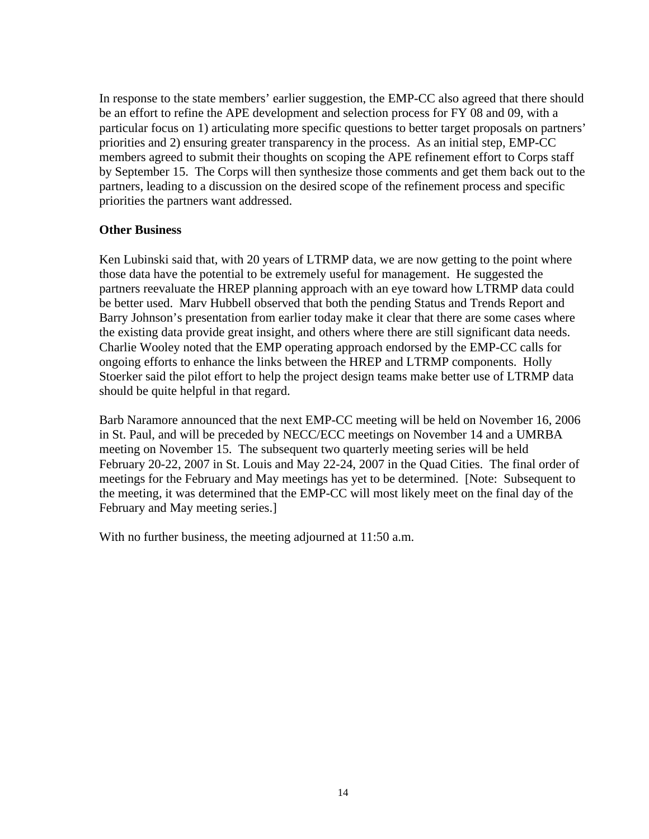In response to the state members' earlier suggestion, the EMP-CC also agreed that there should be an effort to refine the APE development and selection process for FY 08 and 09, with a particular focus on 1) articulating more specific questions to better target proposals on partners' priorities and 2) ensuring greater transparency in the process. As an initial step, EMP-CC members agreed to submit their thoughts on scoping the APE refinement effort to Corps staff by September 15. The Corps will then synthesize those comments and get them back out to the partners, leading to a discussion on the desired scope of the refinement process and specific priorities the partners want addressed.

### **Other Business**

Ken Lubinski said that, with 20 years of LTRMP data, we are now getting to the point where those data have the potential to be extremely useful for management. He suggested the partners reevaluate the HREP planning approach with an eye toward how LTRMP data could be better used. Marv Hubbell observed that both the pending Status and Trends Report and Barry Johnson's presentation from earlier today make it clear that there are some cases where the existing data provide great insight, and others where there are still significant data needs. Charlie Wooley noted that the EMP operating approach endorsed by the EMP-CC calls for ongoing efforts to enhance the links between the HREP and LTRMP components. Holly Stoerker said the pilot effort to help the project design teams make better use of LTRMP data should be quite helpful in that regard.

Barb Naramore announced that the next EMP-CC meeting will be held on November 16, 2006 in St. Paul, and will be preceded by NECC/ECC meetings on November 14 and a UMRBA meeting on November 15. The subsequent two quarterly meeting series will be held February 20-22, 2007 in St. Louis and May 22-24, 2007 in the Quad Cities. The final order of meetings for the February and May meetings has yet to be determined. [Note: Subsequent to the meeting, it was determined that the EMP-CC will most likely meet on the final day of the February and May meeting series.]

With no further business, the meeting adjourned at 11:50 a.m.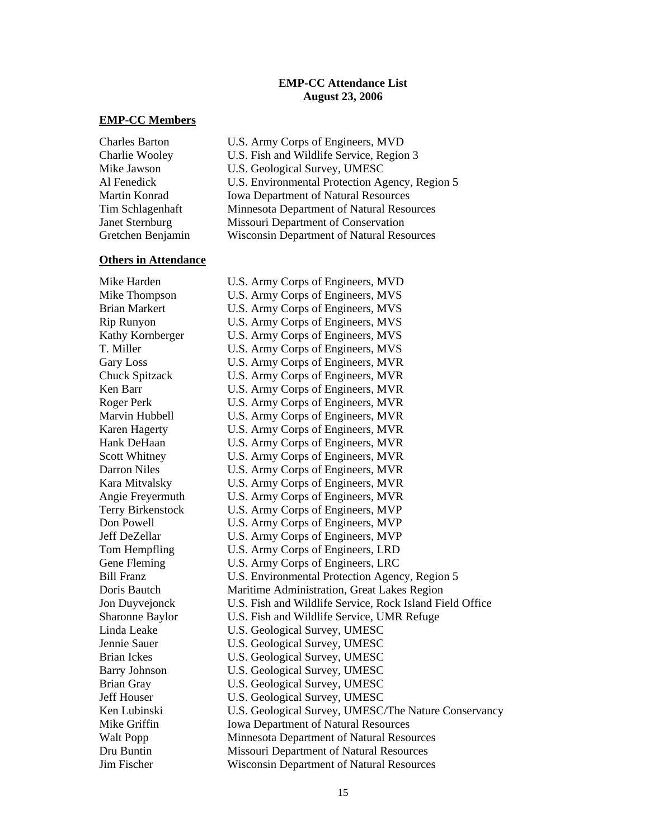#### **EMP-CC Attendance List August 23, 2006**

#### **EMP-CC Members**

| <b>Charles Barton</b> | U.S. Army Corps of Engineers, MVD                |
|-----------------------|--------------------------------------------------|
| Charlie Wooley        | U.S. Fish and Wildlife Service, Region 3         |
| Mike Jawson           | U.S. Geological Survey, UMESC                    |
| Al Fenedick           | U.S. Environmental Protection Agency, Region 5   |
| Martin Konrad         | <b>Iowa Department of Natural Resources</b>      |
| Tim Schlagenhaft      | Minnesota Department of Natural Resources        |
| Janet Sternburg       | Missouri Department of Conservation              |
| Gretchen Benjamin     | <b>Wisconsin Department of Natural Resources</b> |
|                       |                                                  |

#### **Others in Attendance**

Mike Harden U.S. Army Corps of Engineers, MVD Mike Thompson U.S. Army Corps of Engineers, MVS Brian Markert U.S. Army Corps of Engineers, MVS Rip Runyon U.S. Army Corps of Engineers, MVS Kathy Kornberger U.S. Army Corps of Engineers, MVS T. Miller U.S. Army Corps of Engineers, MVS Gary Loss U.S. Army Corps of Engineers, MVR Chuck Spitzack U.S. Army Corps of Engineers, MVR Ken Barr **U.S.** Army Corps of Engineers, MVR Roger Perk U.S. Army Corps of Engineers, MVR Marvin Hubbell U.S. Army Corps of Engineers, MVR Karen Hagerty **W.S. Army Corps of Engineers, MVR**<br>Hank DeHaan U.S. Army Corps of Engineers, MVR U.S. Army Corps of Engineers, MVR Scott Whitney U.S. Army Corps of Engineers, MVR Darron Niles U.S. Army Corps of Engineers, MVR Kara Mitvalsky U.S. Army Corps of Engineers, MVR Angie Freyermuth U.S. Army Corps of Engineers, MVR Terry Birkenstock U.S. Army Corps of Engineers, MVP Don Powell **U.S.** Army Corps of Engineers, MVP Jeff DeZellar U.S. Army Corps of Engineers, MVP Tom Hempfling U.S. Army Corps of Engineers, LRD Gene Fleming U.S. Army Corps of Engineers, LRC Bill Franz U.S. Environmental Protection Agency, Region 5 Doris Bautch Maritime Administration, Great Lakes Region Jon Duyvejonck U.S. Fish and Wildlife Service, Rock Island Field Office Sharonne Baylor U.S. Fish and Wildlife Service, UMR Refuge Linda Leake U.S. Geological Survey, UMESC Jennie Sauer U.S. Geological Survey, UMESC Brian Ickes U.S. Geological Survey, UMESC Barry Johnson U.S. Geological Survey, UMESC Brian Gray **U.S.** Geological Survey, UMESC Jeff Houser U.S. Geological Survey, UMESC Ken Lubinski U.S. Geological Survey, UMESC/The Nature Conservancy Mike Griffin Iowa Department of Natural Resources Walt Popp Minnesota Department of Natural Resources Dru Buntin Missouri Department of Natural Resources Jim Fischer Wisconsin Department of Natural Resources